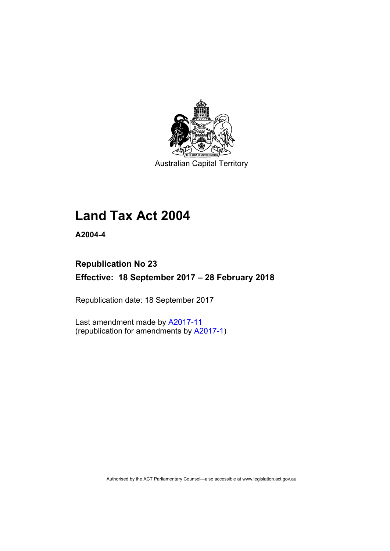

Australian Capital Territory

# **Land Tax Act 2004**

**A2004-4** 

## **Republication No 23 Effective: 18 September 2017 – 28 February 2018**

Republication date: 18 September 2017

Last amendment made by [A2017-11](http://www.legislation.act.gov.au/a/2017-11/default.asp) (republication for amendments by [A2017-1\)](http://www.legislation.act.gov.au/a/2017-1/default.asp)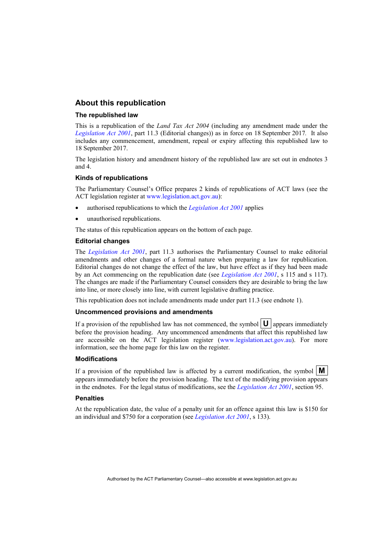## **About this republication**

#### **The republished law**

This is a republication of the *Land Tax Act 2004* (including any amendment made under the *[Legislation Act 2001](http://www.legislation.act.gov.au/a/2001-14)*, part 11.3 (Editorial changes)) as in force on 18 September 2017*.* It also includes any commencement, amendment, repeal or expiry affecting this republished law to 18 September 2017.

The legislation history and amendment history of the republished law are set out in endnotes 3 and 4.

#### **Kinds of republications**

The Parliamentary Counsel's Office prepares 2 kinds of republications of ACT laws (see the ACT legislation register at [www.legislation.act.gov.au](http://www.legislation.act.gov.au/)):

- authorised republications to which the *[Legislation Act 2001](http://www.legislation.act.gov.au/a/2001-14)* applies
- unauthorised republications.

The status of this republication appears on the bottom of each page.

#### **Editorial changes**

The *[Legislation Act 2001](http://www.legislation.act.gov.au/a/2001-14)*, part 11.3 authorises the Parliamentary Counsel to make editorial amendments and other changes of a formal nature when preparing a law for republication. Editorial changes do not change the effect of the law, but have effect as if they had been made by an Act commencing on the republication date (see *[Legislation Act 2001](http://www.legislation.act.gov.au/a/2001-14)*, s 115 and s 117). The changes are made if the Parliamentary Counsel considers they are desirable to bring the law into line, or more closely into line, with current legislative drafting practice.

This republication does not include amendments made under part 11.3 (see endnote 1).

#### **Uncommenced provisions and amendments**

If a provision of the republished law has not commenced, the symbol  $\mathbf{U}$  appears immediately before the provision heading. Any uncommenced amendments that affect this republished law are accessible on the ACT legislation register [\(www.legislation.act.gov.au\)](http://www.legislation.act.gov.au/). For more information, see the home page for this law on the register.

#### **Modifications**

If a provision of the republished law is affected by a current modification, the symbol  $\mathbf{M}$ appears immediately before the provision heading. The text of the modifying provision appears in the endnotes. For the legal status of modifications, see the *[Legislation Act 2001](http://www.legislation.act.gov.au/a/2001-14)*, section 95.

#### **Penalties**

At the republication date, the value of a penalty unit for an offence against this law is \$150 for an individual and \$750 for a corporation (see *[Legislation Act 2001](http://www.legislation.act.gov.au/a/2001-14)*, s 133).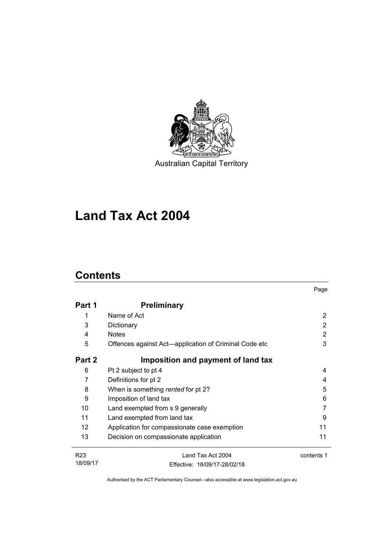

# **Land Tax Act 2004**

## **Contents**

|                 |                                                       | Page       |
|-----------------|-------------------------------------------------------|------------|
| Part 1          | <b>Preliminary</b>                                    |            |
| 1               | Name of Act                                           | 2          |
| 3               | Dictionary                                            | 2          |
| 4               | <b>Notes</b>                                          | 2          |
| 5               | Offences against Act—application of Criminal Code etc | 3          |
| Part 2          | Imposition and payment of land tax                    |            |
| 6               | Pt 2 subject to pt 4                                  | 4          |
| 7               | Definitions for pt 2                                  | 4          |
| 8               | When is something rented for pt 2?                    | 5          |
| 9               | Imposition of land tax                                | 6          |
| 10              | Land exempted from s 9 generally                      |            |
| 11              | Land exempted from land tax                           | 9          |
| 12 <sup>2</sup> | Application for compassionate case exemption          | 11         |
| 13              | Decision on compassionate application                 | 11         |
| R <sub>23</sub> | Land Tax Act 2004                                     | contents 1 |
| 18/09/17        | Fffective: 18/09/17-28/02/18                          |            |

Authorised by the ACT Parliamentary Counsel—also accessible at www.legislation.act.gov.au

Effective: 18/09/17-28/02/18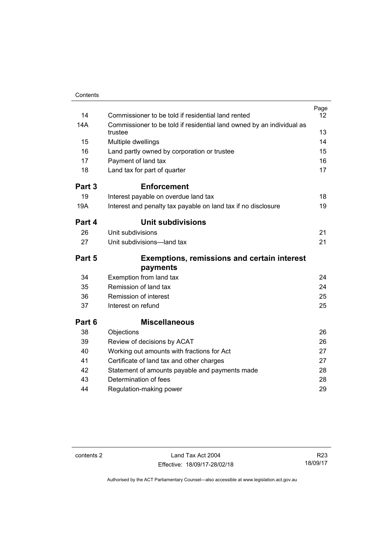| Contents |                                                                       |      |
|----------|-----------------------------------------------------------------------|------|
|          |                                                                       | Page |
| 14       | Commissioner to be told if residential land rented                    | 12   |
| 14A      | Commissioner to be told if residential land owned by an individual as |      |
|          | trustee                                                               | 13   |
| 15       | Multiple dwellings                                                    | 14   |
| 16       | Land partly owned by corporation or trustee                           | 15   |
| 17       | Payment of land tax                                                   | 16   |
| 18       | Land tax for part of quarter                                          | 17   |
| Part 3   | <b>Enforcement</b>                                                    |      |
| 19       | Interest payable on overdue land tax                                  | 18   |
| 19A      | Interest and penalty tax payable on land tax if no disclosure         | 19   |
| Part 4   | <b>Unit subdivisions</b>                                              |      |
| 26       | Unit subdivisions                                                     | 21   |
| 27       | Unit subdivisions-land tax                                            | 21   |
| Part 5   | <b>Exemptions, remissions and certain interest</b>                    |      |
|          | payments                                                              |      |
| 34       | Exemption from land tax                                               | 24   |
| 35       | Remission of land tax                                                 | 24   |
| 36       | <b>Remission of interest</b>                                          | 25   |
| 37       | Interest on refund                                                    | 25   |
| Part 6   | <b>Miscellaneous</b>                                                  |      |
| 38       | Objections                                                            | 26   |
| 39       | Review of decisions by ACAT                                           | 26   |
| 40       | Working out amounts with fractions for Act                            | 27   |
| 41       | Certificate of land tax and other charges                             | 27   |
| 42       | Statement of amounts payable and payments made                        | 28   |
| 43       | Determination of fees                                                 | 28   |
| 44       | Regulation-making power                                               | 29   |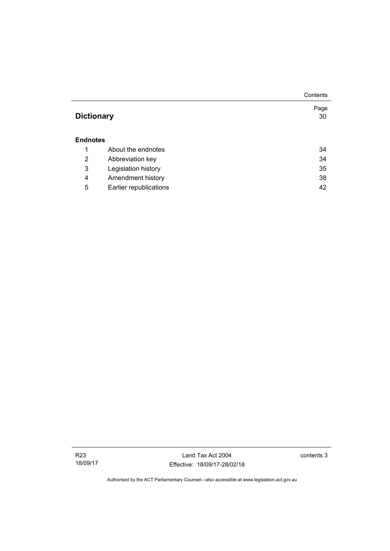|                   |                        | Contents   |
|-------------------|------------------------|------------|
| <b>Dictionary</b> |                        | Page<br>30 |
| <b>Endnotes</b>   |                        |            |
| 1                 | About the endnotes     | 34         |
| 2                 | Abbreviation key       | 34         |
| 3                 | Legislation history    | 35         |
| 4                 | Amendment history      | 38         |
| 5                 | Earlier republications | 42         |

Land Tax Act 2004 Effective: 18/09/17-28/02/18 contents 3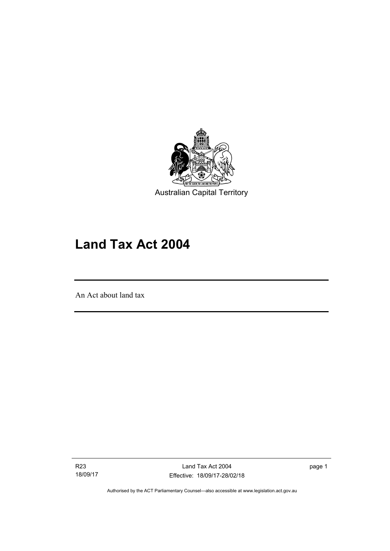

# **Land Tax Act 2004**

An Act about land tax

l

R23 18/09/17

Land Tax Act 2004 Effective: 18/09/17-28/02/18 page 1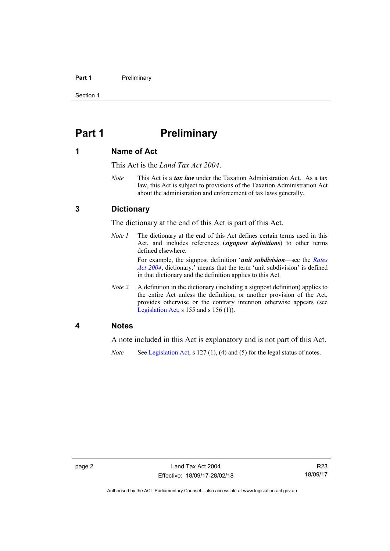#### **Part 1** Preliminary

Section 1

## <span id="page-7-0"></span>**Part 1** Preliminary

## <span id="page-7-1"></span>**1 Name of Act**

This Act is the *Land Tax Act 2004*.

*Note* This Act is a *tax law* under the Taxation Administration Act. As a tax law, this Act is subject to provisions of the Taxation Administration Act about the administration and enforcement of tax laws generally.

## <span id="page-7-2"></span>**3 Dictionary**

The dictionary at the end of this Act is part of this Act.

*Note 1* The dictionary at the end of this Act defines certain terms used in this Act, and includes references (*signpost definitions*) to other terms defined elsewhere.

> For example, the signpost definition '*unit subdivision*—see the *[Rates](http://www.legislation.act.gov.au/a/2004-3)  [Act 2004](http://www.legislation.act.gov.au/a/2004-3)*, dictionary.' means that the term 'unit subdivision' is defined in that dictionary and the definition applies to this Act.

*Note 2* A definition in the dictionary (including a signpost definition) applies to the entire Act unless the definition, or another provision of the Act, provides otherwise or the contrary intention otherwise appears (see [Legislation Act,](http://www.legislation.act.gov.au/a/2001-14) s  $155$  and s  $156$  (1)).

## <span id="page-7-3"></span>**4 Notes**

A note included in this Act is explanatory and is not part of this Act.

*Note* See [Legislation Act,](http://www.legislation.act.gov.au/a/2001-14) s 127 (1), (4) and (5) for the legal status of notes.

Authorised by the ACT Parliamentary Counsel—also accessible at www.legislation.act.gov.au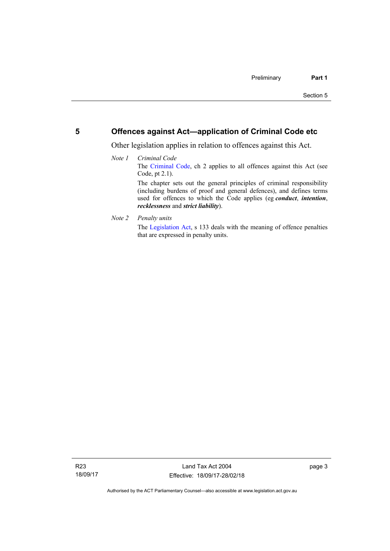## <span id="page-8-0"></span>**5 Offences against Act—application of Criminal Code etc**

Other legislation applies in relation to offences against this Act.

- *Note 1 Criminal Code* The [Criminal Code](http://www.legislation.act.gov.au/a/2002-51), ch 2 applies to all offences against this Act (see Code, pt 2.1). The chapter sets out the general principles of criminal responsibility (including burdens of proof and general defences), and defines terms used for offences to which the Code applies (eg *conduct*, *intention*, *recklessness* and *strict liability*).
- *Note 2 Penalty units*

The [Legislation Act](http://www.legislation.act.gov.au/a/2001-14), s 133 deals with the meaning of offence penalties that are expressed in penalty units.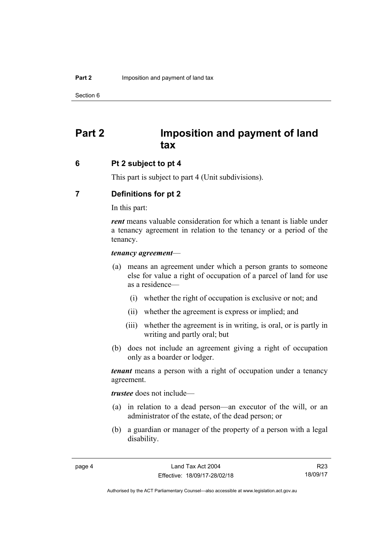## <span id="page-9-0"></span>**Part 2 Imposition and payment of land tax**

## <span id="page-9-1"></span>**6 Pt 2 subject to pt 4**

This part is subject to part 4 (Unit subdivisions).

## <span id="page-9-2"></span>**7 Definitions for pt 2**

In this part:

*rent* means valuable consideration for which a tenant is liable under a tenancy agreement in relation to the tenancy or a period of the tenancy.

#### *tenancy agreement*—

- (a) means an agreement under which a person grants to someone else for value a right of occupation of a parcel of land for use as a residence—
	- (i) whether the right of occupation is exclusive or not; and
	- (ii) whether the agreement is express or implied; and
	- (iii) whether the agreement is in writing, is oral, or is partly in writing and partly oral; but
- (b) does not include an agreement giving a right of occupation only as a boarder or lodger.

*tenant* means a person with a right of occupation under a tenancy agreement.

*trustee* does not include—

- (a) in relation to a dead person—an executor of the will, or an administrator of the estate, of the dead person; or
- (b) a guardian or manager of the property of a person with a legal disability.

R23 18/09/17

Authorised by the ACT Parliamentary Counsel—also accessible at www.legislation.act.gov.au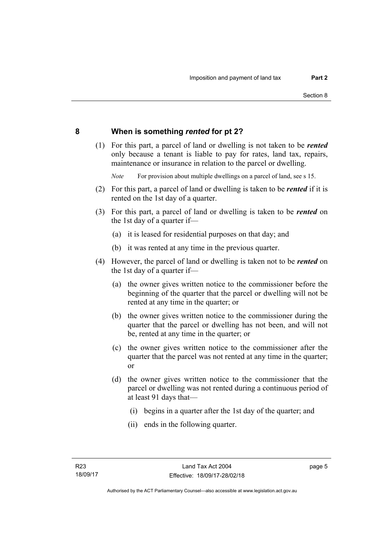## <span id="page-10-0"></span>**8 When is something** *rented* **for pt 2?**

 (1) For this part, a parcel of land or dwelling is not taken to be *rented* only because a tenant is liable to pay for rates, land tax, repairs, maintenance or insurance in relation to the parcel or dwelling.

*Note* For provision about multiple dwellings on a parcel of land, see s 15.

- (2) For this part, a parcel of land or dwelling is taken to be *rented* if it is rented on the 1st day of a quarter.
- (3) For this part, a parcel of land or dwelling is taken to be *rented* on the 1st day of a quarter if—
	- (a) it is leased for residential purposes on that day; and
	- (b) it was rented at any time in the previous quarter.
- (4) However, the parcel of land or dwelling is taken not to be *rented* on the 1st day of a quarter if—
	- (a) the owner gives written notice to the commissioner before the beginning of the quarter that the parcel or dwelling will not be rented at any time in the quarter; or
	- (b) the owner gives written notice to the commissioner during the quarter that the parcel or dwelling has not been, and will not be, rented at any time in the quarter; or
	- (c) the owner gives written notice to the commissioner after the quarter that the parcel was not rented at any time in the quarter; or
	- (d) the owner gives written notice to the commissioner that the parcel or dwelling was not rented during a continuous period of at least 91 days that—
		- (i) begins in a quarter after the 1st day of the quarter; and
		- (ii) ends in the following quarter.

page 5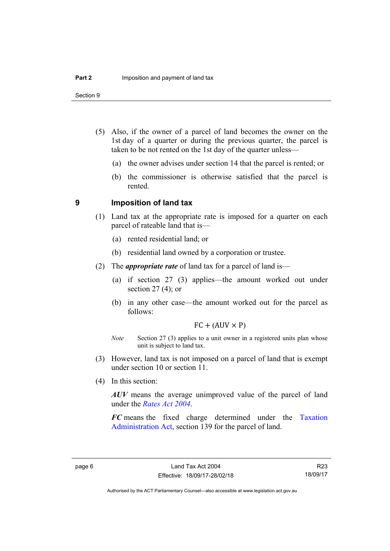Section 9

- (5) Also, if the owner of a parcel of land becomes the owner on the 1st day of a quarter or during the previous quarter, the parcel is taken to be not rented on the 1st day of the quarter unless—
	- (a) the owner advises under section 14 that the parcel is rented; or
	- (b) the commissioner is otherwise satisfied that the parcel is rented.

## <span id="page-11-0"></span>**9 Imposition of land tax**

- (1) Land tax at the appropriate rate is imposed for a quarter on each parcel of rateable land that is—
	- (a) rented residential land; or
	- (b) residential land owned by a corporation or trustee.
- (2) The *appropriate rate* of land tax for a parcel of land is—
	- (a) if section 27 (3) applies—the amount worked out under section  $27(4)$ ; or
	- (b) in any other case—the amount worked out for the parcel as follows:

 $FC + (AUV \times P)$ 

- *Note* Section 27 (3) applies to a unit owner in a registered units plan whose unit is subject to land tax.
- (3) However, land tax is not imposed on a parcel of land that is exempt under section 10 or section 11.
- (4) In this section:

*AUV* means the average unimproved value of the parcel of land under the *[Rates Act 2004](http://www.legislation.act.gov.au/a/2004-3)*.

*FC* means the fixed charge determined under the [Taxation](http://www.legislation.act.gov.au/a/1999-4/default.asp)  [Administration Act](http://www.legislation.act.gov.au/a/1999-4/default.asp), section 139 for the parcel of land.

R23 18/09/17

Authorised by the ACT Parliamentary Counsel—also accessible at www.legislation.act.gov.au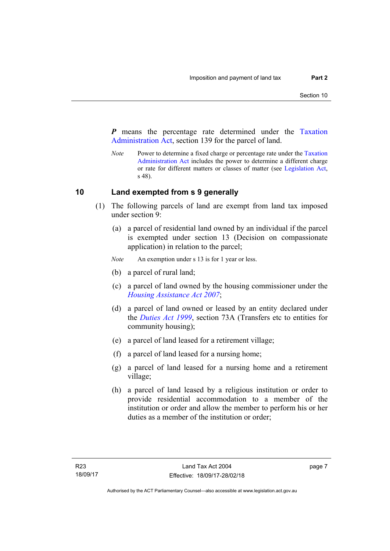*P* means the percentage rate determined under the [Taxation](http://www.legislation.act.gov.au/a/1999-4/default.asp)  [Administration Act](http://www.legislation.act.gov.au/a/1999-4/default.asp), section 139 for the parcel of land.

*Note* Power to determine a fixed charge or percentage rate under the Taxation [Administration Act](http://www.legislation.act.gov.au/a/1999-4/default.asp) includes the power to determine a different charge or rate for different matters or classes of matter (see [Legislation Act,](http://www.legislation.act.gov.au/a/2001-14) s 48).

## <span id="page-12-0"></span>**10 Land exempted from s 9 generally**

- (1) The following parcels of land are exempt from land tax imposed under section 9:
	- (a) a parcel of residential land owned by an individual if the parcel is exempted under section 13 (Decision on compassionate application) in relation to the parcel;
	- *Note* An exemption under s 13 is for 1 year or less.
	- (b) a parcel of rural land;
	- (c) a parcel of land owned by the housing commissioner under the *[Housing Assistance Act 2007](http://www.legislation.act.gov.au/a/2007-8)*;
	- (d) a parcel of land owned or leased by an entity declared under the *[Duties Act 1999](http://www.legislation.act.gov.au/a/1999-7)*, section 73A (Transfers etc to entities for community housing);
	- (e) a parcel of land leased for a retirement village;
	- (f) a parcel of land leased for a nursing home;
	- (g) a parcel of land leased for a nursing home and a retirement village;
	- (h) a parcel of land leased by a religious institution or order to provide residential accommodation to a member of the institution or order and allow the member to perform his or her duties as a member of the institution or order;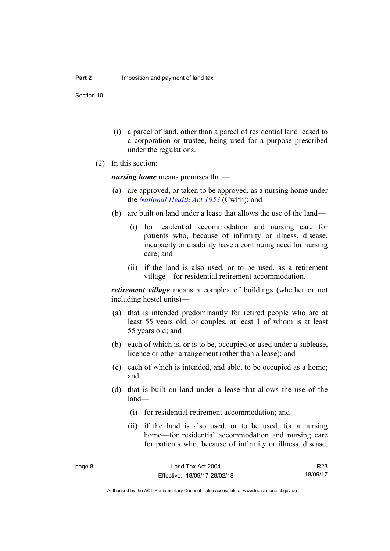Section 10

- (i) a parcel of land, other than a parcel of residential land leased to a corporation or trustee, being used for a purpose prescribed under the regulations.
- (2) In this section:

*nursing home* means premises that—

- (a) are approved, or taken to be approved, as a nursing home under the *[National Health Act 1953](http://www.comlaw.gov.au/Details/C2013C00083)* (Cwlth); and
- (b) are built on land under a lease that allows the use of the land—
	- (i) for residential accommodation and nursing care for patients who, because of infirmity or illness, disease, incapacity or disability have a continuing need for nursing care; and
	- (ii) if the land is also used, or to be used, as a retirement village—for residential retirement accommodation.

*retirement village* means a complex of buildings (whether or not including hostel units)—

- (a) that is intended predominantly for retired people who are at least 55 years old, or couples, at least 1 of whom is at least 55 years old; and
- (b) each of which is, or is to be, occupied or used under a sublease, licence or other arrangement (other than a lease); and
- (c) each of which is intended, and able, to be occupied as a home; and
- (d) that is built on land under a lease that allows the use of the land—
	- (i) for residential retirement accommodation; and
	- (ii) if the land is also used, or to be used, for a nursing home—for residential accommodation and nursing care for patients who, because of infirmity or illness, disease,

R23 18/09/17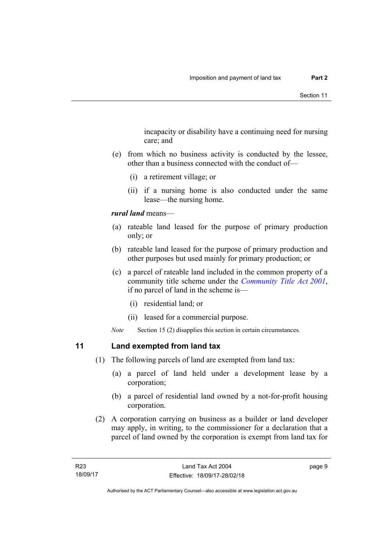incapacity or disability have a continuing need for nursing care; and

- (e) from which no business activity is conducted by the lessee, other than a business connected with the conduct of—
	- (i) a retirement village; or
	- (ii) if a nursing home is also conducted under the same lease—the nursing home.

## *rural land* means—

- (a) rateable land leased for the purpose of primary production only; or
- (b) rateable land leased for the purpose of primary production and other purposes but used mainly for primary production; or
- (c) a parcel of rateable land included in the common property of a community title scheme under the *[Community Title Act 2001](http://www.legislation.act.gov.au/a/2001-58)*, if no parcel of land in the scheme is—
	- (i) residential land; or
	- (ii) leased for a commercial purpose.

*Note* Section 15 (2) disapplies this section in certain circumstances.

## <span id="page-14-0"></span>**11 Land exempted from land tax**

- (1) The following parcels of land are exempted from land tax:
	- (a) a parcel of land held under a development lease by a corporation;
	- (b) a parcel of residential land owned by a not-for-profit housing corporation.
- (2) A corporation carrying on business as a builder or land developer may apply, in writing, to the commissioner for a declaration that a parcel of land owned by the corporation is exempt from land tax for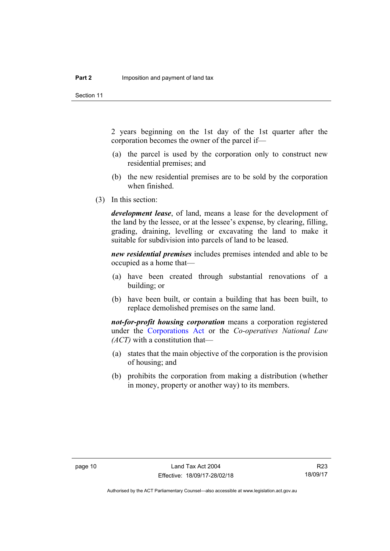Section 11

2 years beginning on the 1st day of the 1st quarter after the corporation becomes the owner of the parcel if—

- (a) the parcel is used by the corporation only to construct new residential premises; and
- (b) the new residential premises are to be sold by the corporation when finished.
- (3) In this section:

*development lease*, of land, means a lease for the development of the land by the lessee, or at the lessee's expense, by clearing, filling, grading, draining, levelling or excavating the land to make it suitable for subdivision into parcels of land to be leased.

*new residential premises* includes premises intended and able to be occupied as a home that—

- (a) have been created through substantial renovations of a building; or
- (b) have been built, or contain a building that has been built, to replace demolished premises on the same land.

*not-for-profit housing corporation* means a corporation registered under the [Corporations Act](http://www.comlaw.gov.au/Series/C2004A00818) or the *Co-operatives National Law (ACT)* with a constitution that—

- (a) states that the main objective of the corporation is the provision of housing; and
- (b) prohibits the corporation from making a distribution (whether in money, property or another way) to its members.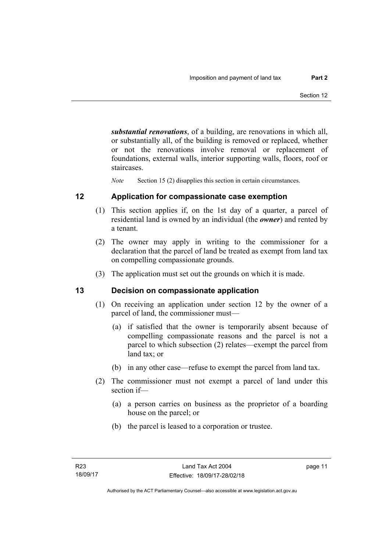*substantial renovations*, of a building, are renovations in which all, or substantially all, of the building is removed or replaced, whether or not the renovations involve removal or replacement of foundations, external walls, interior supporting walls, floors, roof or staircases.

*Note* Section 15 (2) disapplies this section in certain circumstances.

## <span id="page-16-0"></span>**12 Application for compassionate case exemption**

- (1) This section applies if, on the 1st day of a quarter, a parcel of residential land is owned by an individual (the *owner*) and rented by a tenant.
- (2) The owner may apply in writing to the commissioner for a declaration that the parcel of land be treated as exempt from land tax on compelling compassionate grounds.
- (3) The application must set out the grounds on which it is made.

## <span id="page-16-1"></span>**13 Decision on compassionate application**

- (1) On receiving an application under section 12 by the owner of a parcel of land, the commissioner must—
	- (a) if satisfied that the owner is temporarily absent because of compelling compassionate reasons and the parcel is not a parcel to which subsection (2) relates—exempt the parcel from land tax; or
	- (b) in any other case—refuse to exempt the parcel from land tax.
- (2) The commissioner must not exempt a parcel of land under this section if—
	- (a) a person carries on business as the proprietor of a boarding house on the parcel; or
	- (b) the parcel is leased to a corporation or trustee.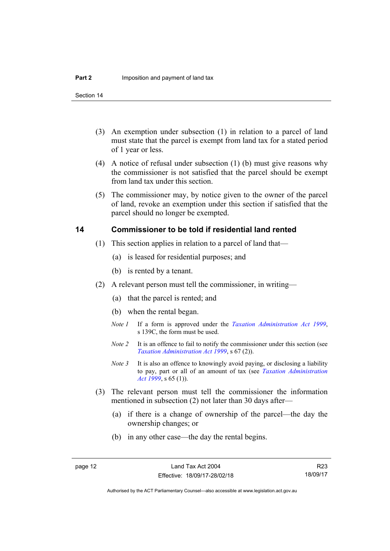Section 14

- (3) An exemption under subsection (1) in relation to a parcel of land must state that the parcel is exempt from land tax for a stated period of 1 year or less.
- (4) A notice of refusal under subsection (1) (b) must give reasons why the commissioner is not satisfied that the parcel should be exempt from land tax under this section.
- (5) The commissioner may, by notice given to the owner of the parcel of land, revoke an exemption under this section if satisfied that the parcel should no longer be exempted.

## <span id="page-17-0"></span>**14 Commissioner to be told if residential land rented**

- (1) This section applies in relation to a parcel of land that—
	- (a) is leased for residential purposes; and
	- (b) is rented by a tenant.
- (2) A relevant person must tell the commissioner, in writing—
	- (a) that the parcel is rented; and
	- (b) when the rental began.
	- *Note 1* If a form is approved under the *[Taxation Administration Act 1999](http://www.legislation.act.gov.au/a/1999-4)*, s 139C, the form must be used.
	- *Note 2* It is an offence to fail to notify the commissioner under this section (see *[Taxation Administration Act 1999](http://www.legislation.act.gov.au/a/1999-4)*, s 67 (2)).
	- *Note 3* It is also an offence to knowingly avoid paying, or disclosing a liability to pay, part or all of an amount of tax (see *[Taxation Administration](http://www.legislation.act.gov.au/a/1999-4)  [Act 1999](http://www.legislation.act.gov.au/a/1999-4)*, s 65 (1)).
- (3) The relevant person must tell the commissioner the information mentioned in subsection (2) not later than 30 days after—
	- (a) if there is a change of ownership of the parcel—the day the ownership changes; or
	- (b) in any other case—the day the rental begins.

R23 18/09/17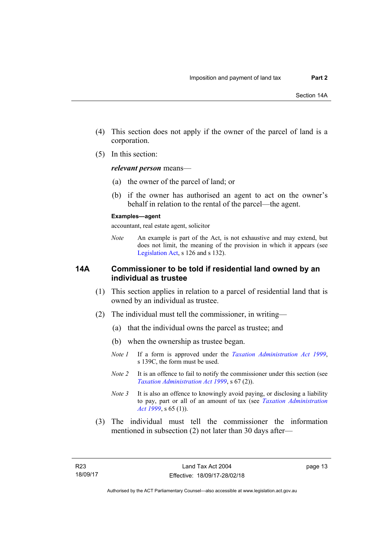- (4) This section does not apply if the owner of the parcel of land is a corporation.
- (5) In this section:

*relevant person* means—

- (a) the owner of the parcel of land; or
- (b) if the owner has authorised an agent to act on the owner's behalf in relation to the rental of the parcel—the agent.

#### **Examples—agent**

accountant, real estate agent, solicitor

*Note* An example is part of the Act, is not exhaustive and may extend, but does not limit, the meaning of the provision in which it appears (see [Legislation Act,](http://www.legislation.act.gov.au/a/2001-14) s 126 and s 132).

## <span id="page-18-0"></span>**14A Commissioner to be told if residential land owned by an individual as trustee**

- (1) This section applies in relation to a parcel of residential land that is owned by an individual as trustee.
- (2) The individual must tell the commissioner, in writing—
	- (a) that the individual owns the parcel as trustee; and
	- (b) when the ownership as trustee began.
	- *Note 1* If a form is approved under the *[Taxation Administration Act 1999](http://www.legislation.act.gov.au/a/1999-4)*, s 139C, the form must be used.
	- *Note 2* It is an offence to fail to notify the commissioner under this section (see *[Taxation Administration Act 1999](http://www.legislation.act.gov.au/a/1999-4)*, s 67 (2)).
	- *Note 3* It is also an offence to knowingly avoid paying, or disclosing a liability to pay, part or all of an amount of tax (see *[Taxation Administration](http://www.legislation.act.gov.au/a/1999-4)  [Act 1999](http://www.legislation.act.gov.au/a/1999-4)*, s 65 (1)).
- (3) The individual must tell the commissioner the information mentioned in subsection (2) not later than 30 days after—

page 13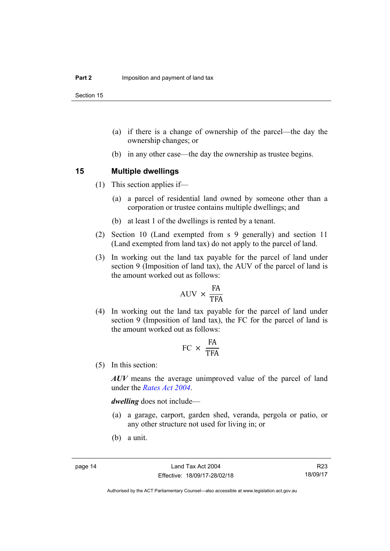Section 15

- (a) if there is a change of ownership of the parcel—the day the ownership changes; or
- (b) in any other case—the day the ownership as trustee begins.

## <span id="page-19-0"></span>**15 Multiple dwellings**

- (1) This section applies if—
	- (a) a parcel of residential land owned by someone other than a corporation or trustee contains multiple dwellings; and
	- (b) at least 1 of the dwellings is rented by a tenant.
- (2) Section 10 (Land exempted from s 9 generally) and section 11 (Land exempted from land tax) do not apply to the parcel of land.
- (3) In working out the land tax payable for the parcel of land under section 9 (Imposition of land tax), the AUV of the parcel of land is the amount worked out as follows:

$$
\mathrm{AUV}\,\times\,\frac{\mathrm{FA}}{\mathrm{TFA}}
$$

 (4) In working out the land tax payable for the parcel of land under section 9 (Imposition of land tax), the FC for the parcel of land is the amount worked out as follows:

$$
FC \times \frac{FA}{TFA}
$$

(5) In this section:

*AUV* means the average unimproved value of the parcel of land under the *[Rates Act 2004](http://www.legislation.act.gov.au/a/2004-3)*.

*dwelling* does not include—

- (a) a garage, carport, garden shed, veranda, pergola or patio, or any other structure not used for living in; or
- (b) a unit.

R23 18/09/17

Authorised by the ACT Parliamentary Counsel—also accessible at www.legislation.act.gov.au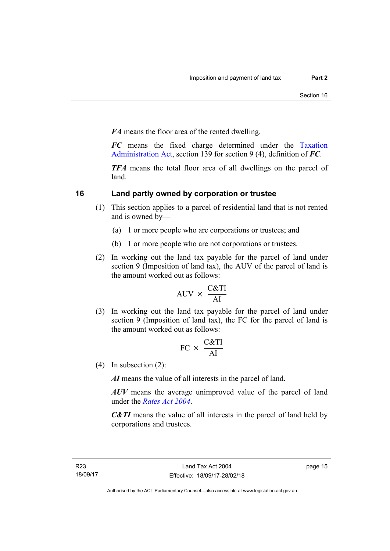*FA* means the floor area of the rented dwelling.

*FC* means the fixed charge determined under the [Taxation](http://www.legislation.act.gov.au/a/1999-4/default.asp)  [Administration Act](http://www.legislation.act.gov.au/a/1999-4/default.asp), section 139 for section 9 (4), definition of *FC*.

*TFA* means the total floor area of all dwellings on the parcel of land.

## <span id="page-20-0"></span>**16 Land partly owned by corporation or trustee**

- (1) This section applies to a parcel of residential land that is not rented and is owned by—
	- (a) 1 or more people who are corporations or trustees; and
	- (b) 1 or more people who are not corporations or trustees.
- (2) In working out the land tax payable for the parcel of land under section 9 (Imposition of land tax), the AUV of the parcel of land is the amount worked out as follows:

$$
AUV \times \frac{C&TI}{AI}
$$

 (3) In working out the land tax payable for the parcel of land under section 9 (Imposition of land tax), the FC for the parcel of land is the amount worked out as follows:

$$
FC \times \frac{C&TI}{AI}
$$

(4) In subsection (2):

*AI* means the value of all interests in the parcel of land.

*AUV* means the average unimproved value of the parcel of land under the *[Rates Act 2004](http://www.legislation.act.gov.au/a/2004-3)*.

*C&TI* means the value of all interests in the parcel of land held by corporations and trustees.

page 15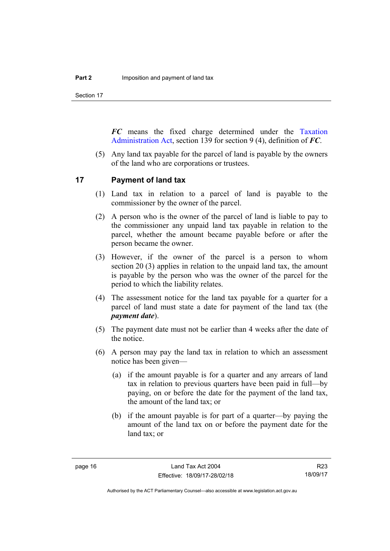Section 17

*FC* means the fixed charge determined under the [Taxation](http://www.legislation.act.gov.au/a/1999-4/default.asp)  [Administration Act](http://www.legislation.act.gov.au/a/1999-4/default.asp), section 139 for section 9 (4), definition of *FC*.

 (5) Any land tax payable for the parcel of land is payable by the owners of the land who are corporations or trustees.

#### <span id="page-21-0"></span>**17 Payment of land tax**

- (1) Land tax in relation to a parcel of land is payable to the commissioner by the owner of the parcel.
- (2) A person who is the owner of the parcel of land is liable to pay to the commissioner any unpaid land tax payable in relation to the parcel, whether the amount became payable before or after the person became the owner.
- (3) However, if the owner of the parcel is a person to whom section 20 (3) applies in relation to the unpaid land tax, the amount is payable by the person who was the owner of the parcel for the period to which the liability relates.
- (4) The assessment notice for the land tax payable for a quarter for a parcel of land must state a date for payment of the land tax (the *payment date*).
- (5) The payment date must not be earlier than 4 weeks after the date of the notice.
- (6) A person may pay the land tax in relation to which an assessment notice has been given—
	- (a) if the amount payable is for a quarter and any arrears of land tax in relation to previous quarters have been paid in full—by paying, on or before the date for the payment of the land tax, the amount of the land tax; or
	- (b) if the amount payable is for part of a quarter—by paying the amount of the land tax on or before the payment date for the land tax; or

R23 18/09/17

Authorised by the ACT Parliamentary Counsel—also accessible at www.legislation.act.gov.au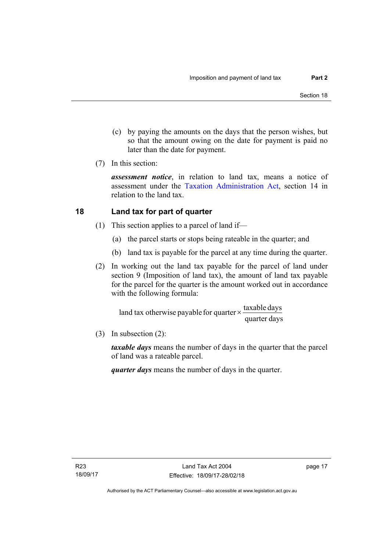- (c) by paying the amounts on the days that the person wishes, but so that the amount owing on the date for payment is paid no later than the date for payment.
- (7) In this section:

*assessment notice*, in relation to land tax, means a notice of assessment under the [Taxation Administration Act,](http://www.legislation.act.gov.au/a/1999-4/default.asp) section 14 in relation to the land tax.

## <span id="page-22-0"></span>**18 Land tax for part of quarter**

- (1) This section applies to a parcel of land if—
	- (a) the parcel starts or stops being rateable in the quarter; and
	- (b) land tax is payable for the parcel at any time during the quarter.
- (2) In working out the land tax payable for the parcel of land under section 9 (Imposition of land tax), the amount of land tax payable for the parcel for the quarter is the amount worked out in accordance with the following formula:

quarter days land tax otherwise payable for quarter  $\times$   $\frac{\text{taxable days}}{\text{ax}$ 

(3) In subsection (2):

*taxable days* means the number of days in the quarter that the parcel of land was a rateable parcel.

*quarter days* means the number of days in the quarter.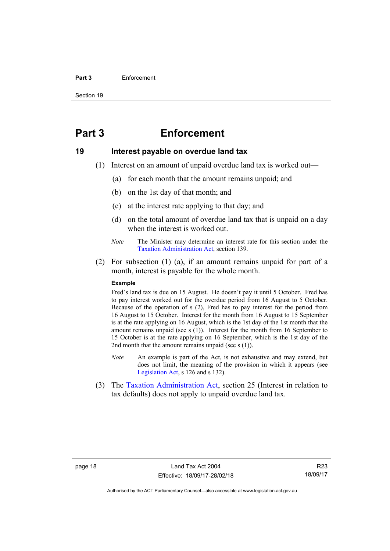#### **Part 3** Enforcement

Section 19

## <span id="page-23-0"></span>**Part 3 Enforcement**

## <span id="page-23-1"></span>**19 Interest payable on overdue land tax**

- (1) Interest on an amount of unpaid overdue land tax is worked out—
	- (a) for each month that the amount remains unpaid; and
	- (b) on the 1st day of that month; and
	- (c) at the interest rate applying to that day; and
	- (d) on the total amount of overdue land tax that is unpaid on a day when the interest is worked out.
	- *Note* The Minister may determine an interest rate for this section under the [Taxation Administration Act,](http://www.legislation.act.gov.au/a/1999-4/default.asp) section 139.
- (2) For subsection (1) (a), if an amount remains unpaid for part of a month, interest is payable for the whole month.

#### **Example**

Fred's land tax is due on 15 August. He doesn't pay it until 5 October. Fred has to pay interest worked out for the overdue period from 16 August to 5 October. Because of the operation of s (2), Fred has to pay interest for the period from 16 August to 15 October. Interest for the month from 16 August to 15 September is at the rate applying on 16 August, which is the 1st day of the 1st month that the amount remains unpaid (see s (1)). Interest for the month from 16 September to 15 October is at the rate applying on 16 September, which is the 1st day of the 2nd month that the amount remains unpaid (see s (1)).

- *Note* An example is part of the Act, is not exhaustive and may extend, but does not limit, the meaning of the provision in which it appears (see [Legislation Act,](http://www.legislation.act.gov.au/a/2001-14) s 126 and s 132).
- (3) The [Taxation Administration Act,](http://www.legislation.act.gov.au/a/1999-4/default.asp) section 25 (Interest in relation to tax defaults) does not apply to unpaid overdue land tax.

Authorised by the ACT Parliamentary Counsel—also accessible at www.legislation.act.gov.au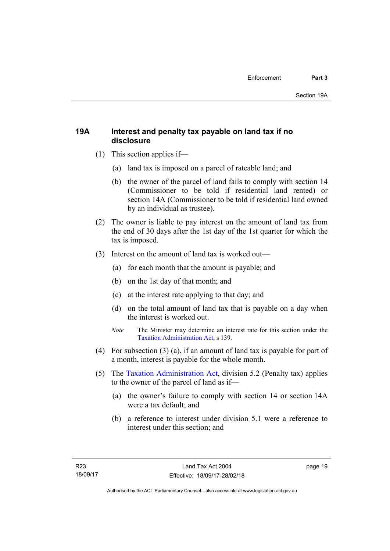## <span id="page-24-0"></span>**19A Interest and penalty tax payable on land tax if no disclosure**

- (1) This section applies if—
	- (a) land tax is imposed on a parcel of rateable land; and
	- (b) the owner of the parcel of land fails to comply with section 14 (Commissioner to be told if residential land rented) or section 14A (Commissioner to be told if residential land owned by an individual as trustee).
- (2) The owner is liable to pay interest on the amount of land tax from the end of 30 days after the 1st day of the 1st quarter for which the tax is imposed.
- (3) Interest on the amount of land tax is worked out—
	- (a) for each month that the amount is payable; and
	- (b) on the 1st day of that month; and
	- (c) at the interest rate applying to that day; and
	- (d) on the total amount of land tax that is payable on a day when the interest is worked out.
	- *Note* The Minister may determine an interest rate for this section under the [Taxation Administration Act,](http://www.legislation.act.gov.au/a/1999-4/default.asp) s 139.
- (4) For subsection (3) (a), if an amount of land tax is payable for part of a month, interest is payable for the whole month.
- (5) The [Taxation Administration Act,](http://www.legislation.act.gov.au/a/1999-4/default.asp) division 5.2 (Penalty tax) applies to the owner of the parcel of land as if—
	- (a) the owner's failure to comply with section 14 or section 14A were a tax default; and
	- (b) a reference to interest under division 5.1 were a reference to interest under this section; and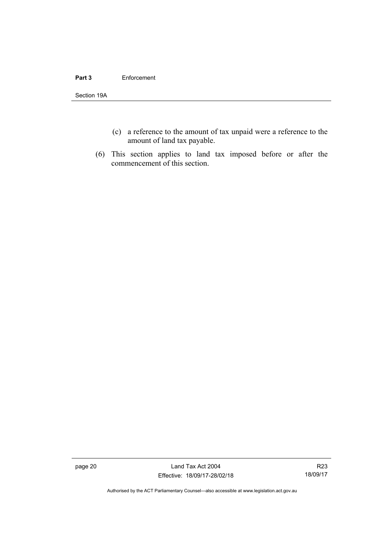#### **Part 3** Enforcement

Section 19A

- (c) a reference to the amount of tax unpaid were a reference to the amount of land tax payable.
- (6) This section applies to land tax imposed before or after the commencement of this section.

page 20 Land Tax Act 2004 Effective: 18/09/17-28/02/18

R23 18/09/17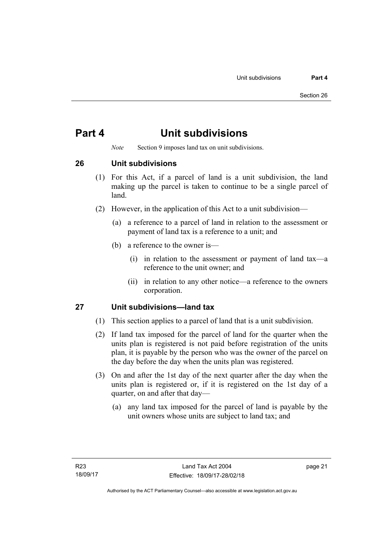## <span id="page-26-0"></span>**Part 4 Unit subdivisions**

*Note* Section 9 imposes land tax on unit subdivisions.

<span id="page-26-1"></span>**26 Unit subdivisions** 

- (1) For this Act, if a parcel of land is a unit subdivision, the land making up the parcel is taken to continue to be a single parcel of land.
- (2) However, in the application of this Act to a unit subdivision—
	- (a) a reference to a parcel of land in relation to the assessment or payment of land tax is a reference to a unit; and
	- (b) a reference to the owner is—
		- (i) in relation to the assessment or payment of land tax—a reference to the unit owner; and
		- (ii) in relation to any other notice—a reference to the owners corporation.

## <span id="page-26-2"></span>**27 Unit subdivisions—land tax**

- (1) This section applies to a parcel of land that is a unit subdivision.
- (2) If land tax imposed for the parcel of land for the quarter when the units plan is registered is not paid before registration of the units plan, it is payable by the person who was the owner of the parcel on the day before the day when the units plan was registered.
- (3) On and after the 1st day of the next quarter after the day when the units plan is registered or, if it is registered on the 1st day of a quarter, on and after that day—
	- (a) any land tax imposed for the parcel of land is payable by the unit owners whose units are subject to land tax; and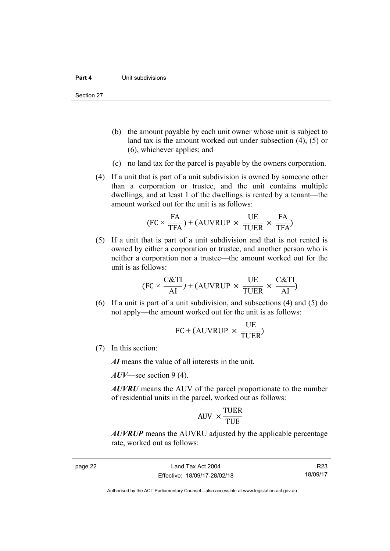Section 27

- (b) the amount payable by each unit owner whose unit is subject to land tax is the amount worked out under subsection (4), (5) or (6), whichever applies; and
- (c) no land tax for the parcel is payable by the owners corporation.
- (4) If a unit that is part of a unit subdivision is owned by someone other than a corporation or trustee, and the unit contains multiple dwellings, and at least 1 of the dwellings is rented by a tenant—the amount worked out for the unit is as follows:

$$
(FC \times \frac{FA}{TFA}) + (AUVRUP \times \frac{UE}{TUER} \times \frac{FA}{TFA})
$$

 (5) If a unit that is part of a unit subdivision and that is not rented is owned by either a corporation or trustee, and another person who is neither a corporation nor a trustee—the amount worked out for the unit is as follows:

$$
(FC \times \frac{C&TI}{AI}) + (AUVRUP \times \frac{UE}{TUER} \times \frac{C&TI}{AI})
$$

 (6) If a unit is part of a unit subdivision, and subsections (4) and (5) do not apply—the amount worked out for the unit is as follows:

$$
FC + (AUVRUP \times \frac{UE}{TUER})
$$

(7) In this section:

*AI* means the value of all interests in the unit.

*AUV*—see section 9 (4).

*AUVRU* means the AUV of the parcel proportionate to the number of residential units in the parcel, worked out as follows:

$$
\text{AUV}\,\times\!\frac{\text{TUER}}{\text{TUE}}
$$

*AUVRUP* means the AUVRU adjusted by the applicable percentage rate, worked out as follows:

R23 18/09/17

Authorised by the ACT Parliamentary Counsel—also accessible at www.legislation.act.gov.au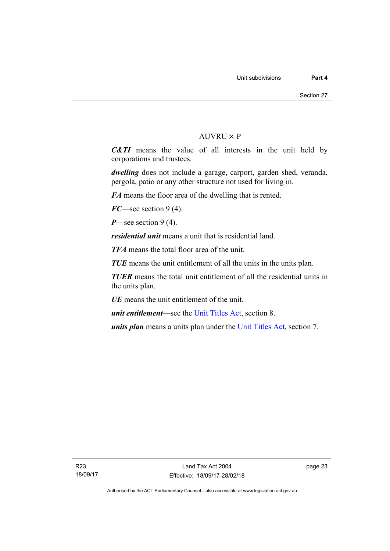## $AIIVRIJ \times P$

*C&TI* means the value of all interests in the unit held by corporations and trustees.

*dwelling* does not include a garage, carport, garden shed, veranda, pergola, patio or any other structure not used for living in.

*FA* means the floor area of the dwelling that is rented.

*FC*—see section 9 (4).

*P*—see section 9 (4).

*residential unit* means a unit that is residential land.

*TFA* means the total floor area of the unit.

*TUE* means the unit entitlement of all the units in the units plan.

*TUER* means the total unit entitlement of all the residential units in the units plan.

*UE* means the unit entitlement of the unit.

*unit entitlement*—see the [Unit Titles Act](http://www.legislation.act.gov.au/a/2001-16/default.asp), section 8.

*units plan* means a units plan under the [Unit Titles Act,](http://www.legislation.act.gov.au/a/2001-16/default.asp) section 7.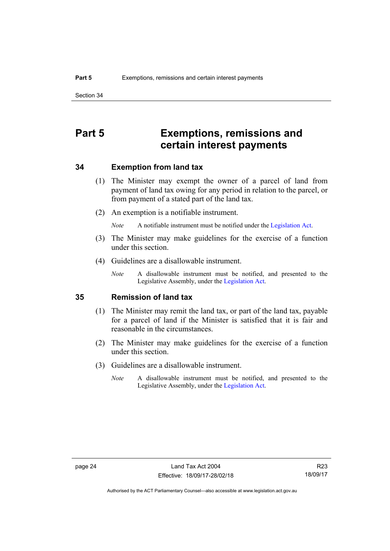## <span id="page-29-0"></span>**Part 5 Exemptions, remissions and certain interest payments**

## <span id="page-29-1"></span>**34 Exemption from land tax**

- (1) The Minister may exempt the owner of a parcel of land from payment of land tax owing for any period in relation to the parcel, or from payment of a stated part of the land tax.
- (2) An exemption is a notifiable instrument.

*Note* A notifiable instrument must be notified under the [Legislation Act](http://www.legislation.act.gov.au/a/2001-14).

- (3) The Minister may make guidelines for the exercise of a function under this section.
- (4) Guidelines are a disallowable instrument.
	- *Note* A disallowable instrument must be notified, and presented to the Legislative Assembly, under the [Legislation Act.](http://www.legislation.act.gov.au/a/2001-14)

## <span id="page-29-2"></span>**35 Remission of land tax**

- (1) The Minister may remit the land tax, or part of the land tax, payable for a parcel of land if the Minister is satisfied that it is fair and reasonable in the circumstances.
- (2) The Minister may make guidelines for the exercise of a function under this section.
- (3) Guidelines are a disallowable instrument.
	- *Note* A disallowable instrument must be notified, and presented to the Legislative Assembly, under the [Legislation Act.](http://www.legislation.act.gov.au/a/2001-14)

R23 18/09/17

Authorised by the ACT Parliamentary Counsel—also accessible at www.legislation.act.gov.au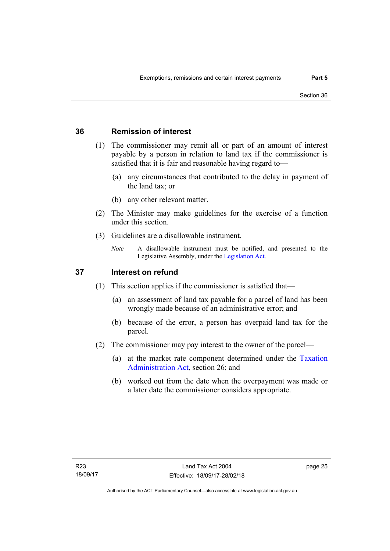## <span id="page-30-0"></span>**36 Remission of interest**

- (1) The commissioner may remit all or part of an amount of interest payable by a person in relation to land tax if the commissioner is satisfied that it is fair and reasonable having regard to—
	- (a) any circumstances that contributed to the delay in payment of the land tax; or
	- (b) any other relevant matter.
- (2) The Minister may make guidelines for the exercise of a function under this section.
- (3) Guidelines are a disallowable instrument.
	- *Note* A disallowable instrument must be notified, and presented to the Legislative Assembly, under the [Legislation Act.](http://www.legislation.act.gov.au/a/2001-14)

## <span id="page-30-1"></span>**37 Interest on refund**

- (1) This section applies if the commissioner is satisfied that—
	- (a) an assessment of land tax payable for a parcel of land has been wrongly made because of an administrative error; and
	- (b) because of the error, a person has overpaid land tax for the parcel.
- (2) The commissioner may pay interest to the owner of the parcel—
	- (a) at the market rate component determined under the [Taxation](http://www.legislation.act.gov.au/a/1999-4/default.asp)  [Administration Act](http://www.legislation.act.gov.au/a/1999-4/default.asp), section 26; and
	- (b) worked out from the date when the overpayment was made or a later date the commissioner considers appropriate.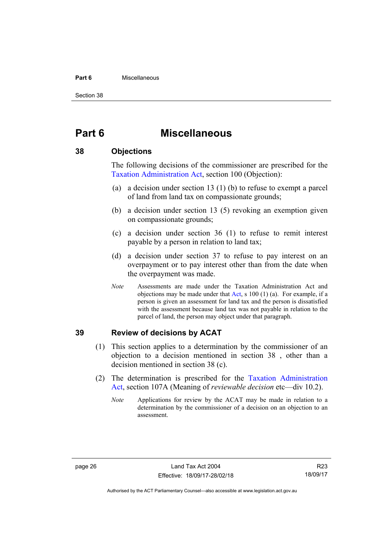#### **Part 6** Miscellaneous

Section 38

## <span id="page-31-0"></span>**Part 6 Miscellaneous**

## <span id="page-31-1"></span>**38 Objections**

The following decisions of the commissioner are prescribed for the [Taxation Administration Act,](http://www.legislation.act.gov.au/a/1999-4/default.asp) section 100 (Objection):

- (a) a decision under section 13 (1) (b) to refuse to exempt a parcel of land from land tax on compassionate grounds;
- (b) a decision under section 13 (5) revoking an exemption given on compassionate grounds;
- (c) a decision under section 36 (1) to refuse to remit interest payable by a person in relation to land tax;
- (d) a decision under section 37 to refuse to pay interest on an overpayment or to pay interest other than from the date when the overpayment was made.
- *Note* Assessments are made under the Taxation Administration Act and objections may be made under that [Act](http://www.legislation.act.gov.au/a/1999-4/default.asp), s 100 (1) (a). For example, if a person is given an assessment for land tax and the person is dissatisfied with the assessment because land tax was not payable in relation to the parcel of land, the person may object under that paragraph.

## <span id="page-31-2"></span>**39 Review of decisions by ACAT**

- (1) This section applies to a determination by the commissioner of an objection to a decision mentioned in section 38 , other than a decision mentioned in section 38 (c).
- (2) The determination is prescribed for the [Taxation Administration](http://www.legislation.act.gov.au/a/1999-4/default.asp)  [Act](http://www.legislation.act.gov.au/a/1999-4/default.asp), section 107A (Meaning of *reviewable decision* etc—div 10.2).
	- *Note* Applications for review by the ACAT may be made in relation to a determination by the commissioner of a decision on an objection to an assessment.

Authorised by the ACT Parliamentary Counsel—also accessible at www.legislation.act.gov.au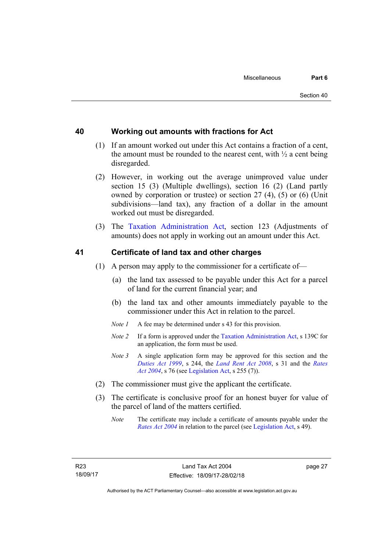## <span id="page-32-0"></span>**40 Working out amounts with fractions for Act**

- (1) If an amount worked out under this Act contains a fraction of a cent, the amount must be rounded to the nearest cent, with  $\frac{1}{2}$  a cent being disregarded.
- (2) However, in working out the average unimproved value under section 15 (3) (Multiple dwellings), section 16 (2) (Land partly owned by corporation or trustee) or section 27 (4), (5) or (6) (Unit subdivisions—land tax), any fraction of a dollar in the amount worked out must be disregarded.
- (3) The [Taxation Administration Act,](http://www.legislation.act.gov.au/a/1999-4/default.asp) section 123 (Adjustments of amounts) does not apply in working out an amount under this Act.

## <span id="page-32-1"></span>**41 Certificate of land tax and other charges**

- (1) A person may apply to the commissioner for a certificate of—
	- (a) the land tax assessed to be payable under this Act for a parcel of land for the current financial year; and
	- (b) the land tax and other amounts immediately payable to the commissioner under this Act in relation to the parcel.
	- *Note 1* A fee may be determined under s 43 for this provision.
	- *Note 2* If a form is approved under the [Taxation Administration Act](http://www.legislation.act.gov.au/a/1999-4/default.asp), s 139C for an application, the form must be used.
	- *Note 3* A single application form may be approved for this section and the *[Duties Act 1999](http://www.legislation.act.gov.au/a/1999-7)*, s 244, the *[Land Rent Act 2008](http://www.legislation.act.gov.au/a/2008-16)*, s 31 and the *[Rates](http://www.legislation.act.gov.au/a/2004-3)  [Act 2004](http://www.legislation.act.gov.au/a/2004-3)*, s 76 (see [Legislation Act](http://www.legislation.act.gov.au/a/2001-14), s 255 (7)).
- (2) The commissioner must give the applicant the certificate.
- (3) The certificate is conclusive proof for an honest buyer for value of the parcel of land of the matters certified.
	- *Note* The certificate may include a certificate of amounts payable under the *[Rates Act 2004](http://www.legislation.act.gov.au/a/2004-3)* in relation to the parcel (see [Legislation Act,](http://www.legislation.act.gov.au/a/2001-14) s 49).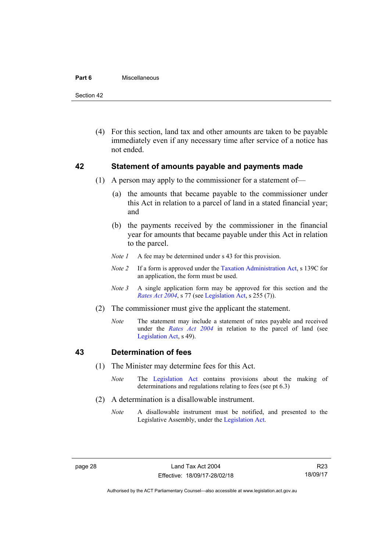#### **Part 6** Miscellaneous

Section 42

 (4) For this section, land tax and other amounts are taken to be payable immediately even if any necessary time after service of a notice has not ended.

### <span id="page-33-0"></span>**42 Statement of amounts payable and payments made**

- (1) A person may apply to the commissioner for a statement of—
	- (a) the amounts that became payable to the commissioner under this Act in relation to a parcel of land in a stated financial year; and
	- (b) the payments received by the commissioner in the financial year for amounts that became payable under this Act in relation to the parcel.
	- *Note 1* A fee may be determined under s 43 for this provision.
	- *Note 2* If a form is approved under the [Taxation Administration Act](http://www.legislation.act.gov.au/a/1999-4/default.asp), s 139C for an application, the form must be used.
	- *Note 3* A single application form may be approved for this section and the *[Rates Act 2004](http://www.legislation.act.gov.au/a/2004-3)*, s 77 (see [Legislation Act,](http://www.legislation.act.gov.au/a/2001-14) s 255 (7)).
- (2) The commissioner must give the applicant the statement.
	- *Note* The statement may include a statement of rates payable and received under the *[Rates Act 2004](http://www.legislation.act.gov.au/a/2004-3)* in relation to the parcel of land (see [Legislation Act,](http://www.legislation.act.gov.au/a/2001-14) s 49).

## <span id="page-33-1"></span>**43 Determination of fees**

- (1) The Minister may determine fees for this Act.
	- *Note* The [Legislation Act](http://www.legislation.act.gov.au/a/2001-14) contains provisions about the making of determinations and regulations relating to fees (see pt 6.3)
- (2) A determination is a disallowable instrument.
	- *Note* A disallowable instrument must be notified, and presented to the Legislative Assembly, under the [Legislation Act.](http://www.legislation.act.gov.au/a/2001-14)

R23 18/09/17

Authorised by the ACT Parliamentary Counsel—also accessible at www.legislation.act.gov.au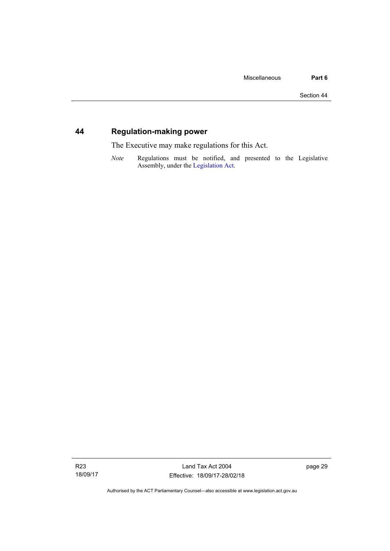## <span id="page-34-0"></span>**44 Regulation-making power**

The Executive may make regulations for this Act.

*Note* Regulations must be notified, and presented to the Legislative Assembly, under the [Legislation Act](http://www.legislation.act.gov.au/a/2001-14).

R23 18/09/17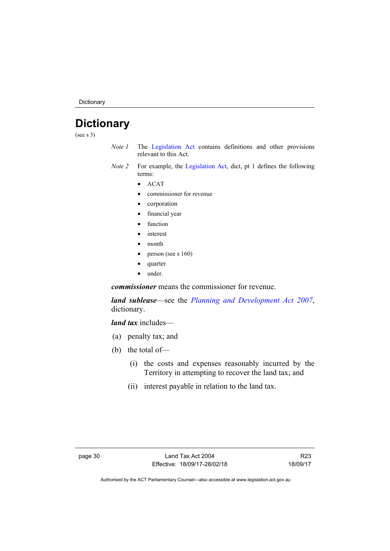**Dictionary** 

## <span id="page-35-0"></span>**Dictionary**

(see s 3)

- *Note 1* The [Legislation Act](http://www.legislation.act.gov.au/a/2001-14) contains definitions and other provisions relevant to this Act.
- *Note 2* For example, the [Legislation Act](http://www.legislation.act.gov.au/a/2001-14), dict, pt 1 defines the following terms:
	- $\bullet$  ACAT
	- commissioner for revenue
	- corporation
	- financial year
	- function
	- interest
	- month
	- person (see s 160)
	- quarter
	- under.

*commissioner* means the commissioner for revenue.

*land sublease*—see the *[Planning and Development Act 2007](http://www.legislation.act.gov.au/a/2007-24)*, dictionary.

*land tax* includes—

- (a) penalty tax; and
- (b) the total of—
	- (i) the costs and expenses reasonably incurred by the Territory in attempting to recover the land tax; and
	- (ii) interest payable in relation to the land tax.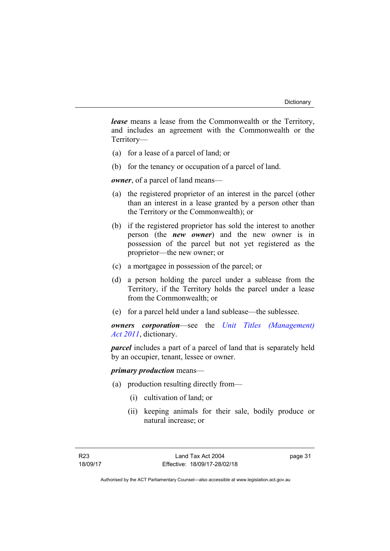*lease* means a lease from the Commonwealth or the Territory, and includes an agreement with the Commonwealth or the Territory—

- (a) for a lease of a parcel of land; or
- (b) for the tenancy or occupation of a parcel of land.

*owner*, of a parcel of land means—

- (a) the registered proprietor of an interest in the parcel (other than an interest in a lease granted by a person other than the Territory or the Commonwealth); or
- (b) if the registered proprietor has sold the interest to another person (the *new owner*) and the new owner is in possession of the parcel but not yet registered as the proprietor—the new owner; or
- (c) a mortgagee in possession of the parcel; or
- (d) a person holding the parcel under a sublease from the Territory, if the Territory holds the parcel under a lease from the Commonwealth; or
- (e) for a parcel held under a land sublease—the sublessee.

*owners corporation*—see the *[Unit Titles \(Management\)](http://www.legislation.act.gov.au/a/2011-41)  [Act 2011](http://www.legislation.act.gov.au/a/2011-41)*, dictionary.

*parcel* includes a part of a parcel of land that is separately held by an occupier, tenant, lessee or owner.

#### *primary production* means—

- (a) production resulting directly from—
	- (i) cultivation of land; or
	- (ii) keeping animals for their sale, bodily produce or natural increase; or

page 31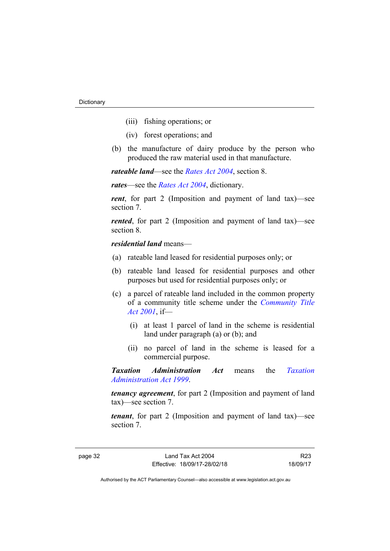- (iii) fishing operations; or
- (iv) forest operations; and
- (b) the manufacture of dairy produce by the person who produced the raw material used in that manufacture.

*rateable land*—see the *[Rates Act 2004](http://www.legislation.act.gov.au/a/2004-3)*, section 8.

*rates*—see the *[Rates Act 2004](http://www.legislation.act.gov.au/a/2004-3)*, dictionary.

*rent*, for part 2 (Imposition and payment of land tax)—see section 7.

*rented*, for part 2 (Imposition and payment of land tax)—see section 8.

*residential land* means—

- (a) rateable land leased for residential purposes only; or
- (b) rateable land leased for residential purposes and other purposes but used for residential purposes only; or
- (c) a parcel of rateable land included in the common property of a community title scheme under the *[Community Title](http://www.legislation.act.gov.au/a/2001-58)  [Act 2001](http://www.legislation.act.gov.au/a/2001-58)*, if—
	- (i) at least 1 parcel of land in the scheme is residential land under paragraph (a) or (b); and
	- (ii) no parcel of land in the scheme is leased for a commercial purpose.

*Taxation Administration Act* means the *[Taxation](http://www.legislation.act.gov.au/a/1999-4)  [Administration Act 1999](http://www.legislation.act.gov.au/a/1999-4)*.

*tenancy agreement*, for part 2 (Imposition and payment of land tax)—see section 7.

*tenant*, for part 2 (Imposition and payment of land tax)—see section 7.

page 32 Land Tax Act 2004 Effective: 18/09/17-28/02/18

R23 18/09/17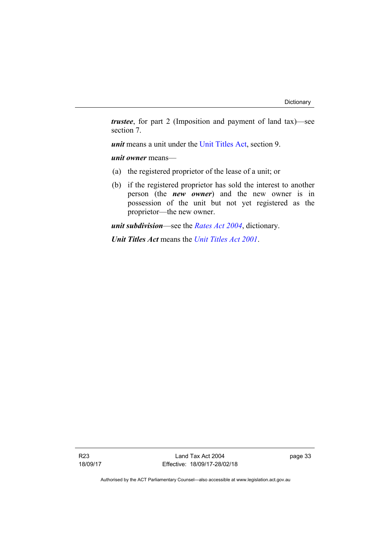*trustee*, for part 2 (Imposition and payment of land tax)—see section 7.

*unit* means a unit under the [Unit Titles Act,](http://www.legislation.act.gov.au/a/2001-16/default.asp) section 9.

*unit owner* means—

- (a) the registered proprietor of the lease of a unit; or
- (b) if the registered proprietor has sold the interest to another person (the *new owner*) and the new owner is in possession of the unit but not yet registered as the proprietor—the new owner.

*unit subdivision*—see the *[Rates Act 2004](http://www.legislation.act.gov.au/a/2004-3)*, dictionary.

*Unit Titles Act* means the *[Unit Titles Act 2001](http://www.legislation.act.gov.au/a/2001-16)*.

R23 18/09/17

Land Tax Act 2004 Effective: 18/09/17-28/02/18 page 33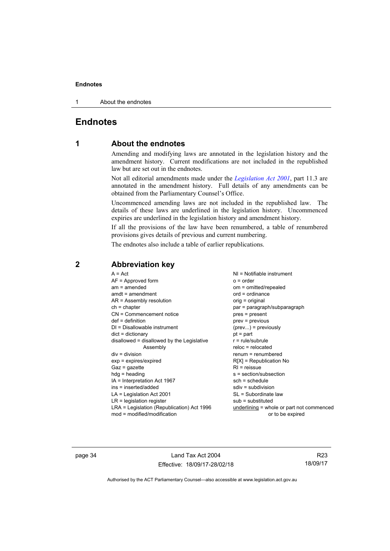1 About the endnotes

## <span id="page-39-0"></span>**Endnotes**

## **1 About the endnotes**

Amending and modifying laws are annotated in the legislation history and the amendment history. Current modifications are not included in the republished law but are set out in the endnotes.

Not all editorial amendments made under the *[Legislation Act 2001](http://www.legislation.act.gov.au/a/2001-14)*, part 11.3 are annotated in the amendment history. Full details of any amendments can be obtained from the Parliamentary Counsel's Office.

Uncommenced amending laws are not included in the republished law. The details of these laws are underlined in the legislation history. Uncommenced expiries are underlined in the legislation history and amendment history.

If all the provisions of the law have been renumbered, a table of renumbered provisions gives details of previous and current numbering.

The endnotes also include a table of earlier republications.

| $A = Act$                                  | $NI = Notifiable$ instrument              |
|--------------------------------------------|-------------------------------------------|
| $AF =$ Approved form                       | $o = order$                               |
| $am = amended$                             | om = omitted/repealed                     |
| $amdt = amendment$                         | $ord = ordinance$                         |
| $AR = Assembly resolution$                 | orig = original                           |
| $ch = chapter$                             | par = paragraph/subparagraph              |
| CN = Commencement notice                   | $pres = present$                          |
| $def = definition$                         | $prev = previous$                         |
| $DI = Disallowable instrument$             | $(\text{prev})$ = previously              |
| $dict = dictionary$                        | $pt = part$                               |
| disallowed = disallowed by the Legislative | $r = rule/subrule$                        |
| Assembly                                   | $reloc = relocated$                       |
| $div = division$                           | $renum = renumbered$                      |
| $exp = expires/expired$                    | $R[X]$ = Republication No                 |
| $Gaz = gazette$                            | $RI = reissue$                            |
| $h dq =$ heading                           | s = section/subsection                    |
| $IA = Interpretation Act 1967$             | $sch = schedule$                          |
| ins = inserted/added                       | $sdiv = subdivision$                      |
| $LA =$ Legislation Act 2001                | SL = Subordinate law                      |
| $LR =$ legislation register                | $sub =$ substituted                       |
| LRA = Legislation (Republication) Act 1996 | underlining = whole or part not commenced |
| $mod = modified/modification$              | or to be expired                          |
|                                            |                                           |

## <span id="page-39-2"></span>**2 Abbreviation key**

page 34 Land Tax Act 2004 Effective: 18/09/17-28/02/18

R23 18/09/17

<span id="page-39-1"></span>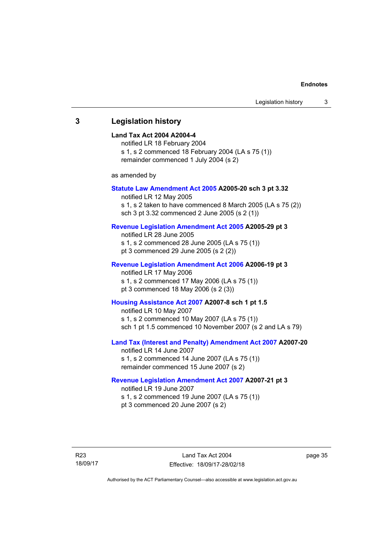## <span id="page-40-0"></span>**3 Legislation history**

#### **Land Tax Act 2004 A2004-4**

notified LR 18 February 2004 s 1, s 2 commenced 18 February 2004 (LA s 75 (1)) remainder commenced 1 July 2004 (s 2)

as amended by

#### **[Statute Law Amendment Act 2005](http://www.legislation.act.gov.au/a/2005-20) A2005-20 sch 3 pt 3.32**

notified LR 12 May 2005 s 1, s 2 taken to have commenced 8 March 2005 (LA s 75 (2)) sch 3 pt 3.32 commenced 2 June 2005 (s 2 (1))

## **[Revenue Legislation Amendment Act 2005](http://www.legislation.act.gov.au/a/2005-29) A2005-29 pt 3**

notified LR 28 June 2005 s 1, s 2 commenced 28 June 2005 (LA s 75 (1)) pt 3 commenced 29 June 2005 (s 2 (2))

#### **[Revenue Legislation Amendment Act 2006](http://www.legislation.act.gov.au/a/2006-19) A2006-19 pt 3**

notified LR 17 May 2006 s 1, s 2 commenced 17 May 2006 (LA s 75 (1)) pt 3 commenced 18 May 2006 (s 2 (3))

#### **[Housing Assistance Act 2007](http://www.legislation.act.gov.au/a/2007-8) A2007-8 sch 1 pt 1.5**

notified LR 10 May 2007 s 1, s 2 commenced 10 May 2007 (LA s 75 (1)) sch 1 pt 1.5 commenced 10 November 2007 (s 2 and LA s 79)

## **[Land Tax \(Interest and Penalty\) Amendment Act 2007](http://www.legislation.act.gov.au/a/2007-20) A2007-20**

notified LR 14 June 2007 s 1, s 2 commenced 14 June 2007 (LA s 75 (1)) remainder commenced 15 June 2007 (s 2)

### **[Revenue Legislation Amendment Act 2007](http://www.legislation.act.gov.au/a/2007-21) A2007-21 pt 3**

notified LR 19 June 2007 s 1, s 2 commenced 19 June 2007 (LA s 75 (1)) pt 3 commenced 20 June 2007 (s 2)

R23 18/09/17 page 35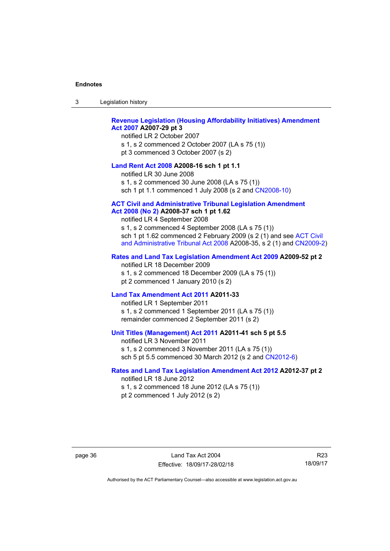| Legislation history<br>-3 |  |
|---------------------------|--|
|---------------------------|--|

## **[Revenue Legislation \(Housing Affordability Initiatives\) Amendment](http://www.legislation.act.gov.au/a/2007-29)  [Act 2007](http://www.legislation.act.gov.au/a/2007-29) A2007-29 pt 3**

notified LR 2 October 2007 s 1, s 2 commenced 2 October 2007 (LA s 75 (1)) pt 3 commenced 3 October 2007 (s 2)

#### **[Land Rent Act 2008](http://www.legislation.act.gov.au/a/2008-16) A2008-16 sch 1 pt 1.1**

notified LR 30 June 2008 s 1, s 2 commenced 30 June 2008 (LA s 75 (1)) sch 1 pt 1.1 commenced 1 July 2008 (s 2 and [CN2008-10\)](http://www.legislation.act.gov.au/cn/2008-10/default.asp)

#### **[ACT Civil and Administrative Tribunal Legislation Amendment](http://www.legislation.act.gov.au/a/2008-37)**

### **[Act 2008 \(No 2\)](http://www.legislation.act.gov.au/a/2008-37) A2008-37 sch 1 pt 1.62**

notified LR 4 September 2008

s 1, s 2 commenced 4 September 2008 (LA s 75 (1)) sch 1 pt 1.62 commenced 2 February 2009 (s 2 (1) and see [ACT Civil](http://www.legislation.act.gov.au/a/2008-35)  [and Administrative Tribunal Act 2008](http://www.legislation.act.gov.au/a/2008-35) A2008-35, s 2 (1) and [CN2009-2](http://www.legislation.act.gov.au/cn/2009-2/default.asp))

#### **[Rates and Land Tax Legislation Amendment Act 2009](http://www.legislation.act.gov.au/a/2009-52) A2009-52 pt 2**

notified LR 18 December 2009 s 1, s 2 commenced 18 December 2009 (LA s 75 (1)) pt 2 commenced 1 January 2010 (s 2)

#### **[Land Tax Amendment Act 2011](http://www.legislation.act.gov.au/a/2011-33) A2011-33**

notified LR 1 September 2011 s 1, s 2 commenced 1 September 2011 (LA s 75 (1)) remainder commenced 2 September 2011 (s 2)

#### **[Unit Titles \(Management\) Act 2011](http://www.legislation.act.gov.au/a/2011-41) A2011-41 sch 5 pt 5.5**

notified LR 3 November 2011 s 1, s 2 commenced 3 November 2011 (LA s 75 (1)) sch 5 pt 5.5 commenced 30 March 2012 (s 2 and [CN2012-6\)](http://www.legislation.act.gov.au/cn/2012-6/default.asp)

#### **[Rates and Land Tax Legislation Amendment Act 2012](http://www.legislation.act.gov.au/a/2012-37) A2012-37 pt 2**

notified LR 18 June 2012 s 1, s 2 commenced 18 June 2012 (LA s 75 (1)) pt 2 commenced 1 July 2012 (s 2)

page 36 Land Tax Act 2004 Effective: 18/09/17-28/02/18

R23 18/09/17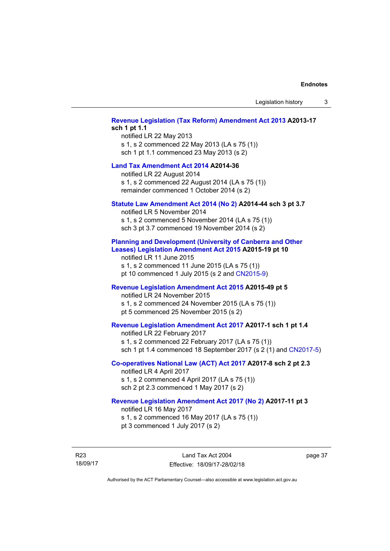### **[Revenue Legislation \(Tax Reform\) Amendment Act 2013](http://www.legislation.act.gov.au/a/2013-17) A2013-17 sch 1 pt 1.1**

notified LR 22 May 2013 s 1, s 2 commenced 22 May 2013 (LA s 75 (1)) sch 1 pt 1.1 commenced 23 May 2013 (s 2)

#### **[Land Tax Amendment Act 2014](http://www.legislation.act.gov.au/a/2014-36) A2014-36**

notified LR 22 August 2014 s 1, s 2 commenced 22 August 2014 (LA s 75 (1)) remainder commenced 1 October 2014 (s 2)

#### **[Statute Law Amendment Act 2014 \(No 2\)](http://www.legislation.act.gov.au/a/2014-44) A2014-44 sch 3 pt 3.7**

notified LR 5 November 2014 s 1, s 2 commenced 5 November 2014 (LA s 75 (1)) sch 3 pt 3.7 commenced 19 November 2014 (s 2)

#### **[Planning and Development \(University of Canberra and Other](http://www.legislation.act.gov.au/a/2015-19)  [Leases\) Legislation Amendment Act 2015](http://www.legislation.act.gov.au/a/2015-19) A2015-19 pt 10**

notified LR 11 June 2015 s 1, s 2 commenced 11 June 2015 (LA s 75 (1)) pt 10 commenced 1 July 2015 (s 2 and [CN2015-9\)](http://www.legislation.act.gov.au/cn/2015-9/default.asp)

#### **[Revenue Legislation Amendment Act 2015](http://www.legislation.act.gov.au/a/2015-49/default.asp) A2015-49 pt 5**

notified LR 24 November 2015 s 1, s 2 commenced 24 November 2015 (LA s 75 (1)) pt 5 commenced 25 November 2015 (s 2)

## **[Revenue Legislation Amendment Act 2017](http://www.legislation.act.gov.au/a/2017-1/default.asp) A2017-1 sch 1 pt 1.4**

notified LR 22 February 2017 s 1, s 2 commenced 22 February 2017 (LA s 75 (1)) sch 1 pt 1.4 commenced 18 September 2017 (s 2 (1) and [CN2017-5\)](http://www.legislation.act.gov.au/cn/2017-5/default.asp)

#### **[Co-operatives National Law \(ACT\) Act 2017](http://www.legislation.act.gov.au/a/2017-8/default.asp) A2017-8 sch 2 pt 2.3**  notified LR 4 April 2017

s 1, s 2 commenced 4 April 2017 (LA s 75 (1)) sch 2 pt 2.3 commenced 1 May 2017 (s 2)

### **[Revenue Legislation Amendment Act 2017 \(No 2\)](http://www.legislation.act.gov.au/a/2017-11/default.asp) A2017-11 pt 3**  notified LR 16 May 2017 s 1, s 2 commenced 16 May 2017 (LA s 75 (1)) pt 3 commenced 1 July 2017 (s 2)

R23 18/09/17 page 37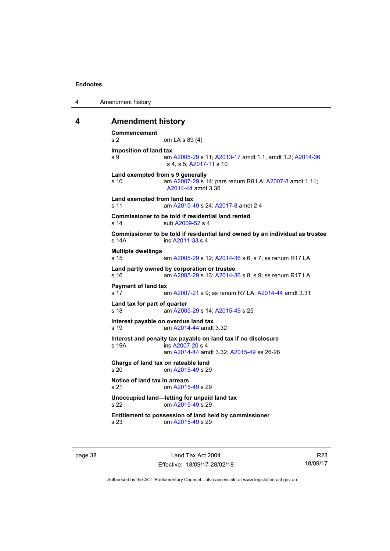4 Amendment history

#### <span id="page-43-0"></span>**4 Amendment history**

```
Commencement 
s 2 om LA s 89 (4) 
Imposition of land tax 
s 9 am A2005-29 s 11; A2013-17 amdt 1.1, amdt 1.2; A2014-36
                 s 4, s 5; A2017-11 s 10 
Land exempted from s 9 generally 
s 10 am A2007-29 s 14; pars renum R8 LA; A2007-8 amdt 1.11; 
                 A2014-44 amdt 3.30 
Land exempted from land tax 
s 11 am A2015-49 s 24; A2017-8 amdt 2.4 
Commissioner to be told if residential land rented 
 A2009-52 s 4
Commissioner to be told if residential land owned by an individual as trustee 
s 14A ins A2011-33 s 4
Multiple dwellings 
s 15 am A2005-29 s 12; A2014-36 s 6, s 7; ss renum R17 LA 
Land partly owned by corporation or trustee 
                 A2005-29A2014-36 s 8, s 9; ss renum R17 LA
Payment of land tax 
s 17 am A2007-21 s 9; ss renum R7 LA; A2014-44 amdt 3.31
Land tax for part of quarter 
s 18 am A2005-29 s 14; A2015-49 s 25 
Interest payable on overdue land tax 
s 19 am A2014-44 amdt 3.32
Interest and penalty tax payable on land tax if no disclosure 
s 19A ins A2007-20 s 4
                 am A2014-44 amdt 3.32; A2015-49 ss 26-28 
Charge of land tax on rateable land<br>s 20 0m A2015-49 s 29
                 A2015-49 s 29
Notice of land tax in arrears 
s 21 om A2015-49 s 29 
Unoccupied land—letting for unpaid land tax 
s 22 om A2015-49 s 29 
Entitlement to possession of land held by commissioner 
s 23 om A2015-49 s 29
```
page 38 Land Tax Act 2004 Effective: 18/09/17-28/02/18

R23 18/09/17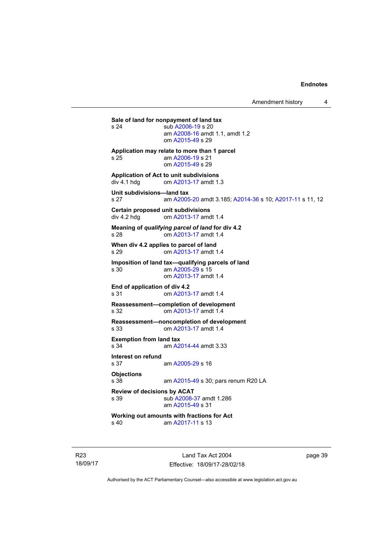Amendment history 4

**Sale of land for nonpayment of land tax**<br>
s 24 sub A2006-19 s 20 sub [A2006-19](http://www.legislation.act.gov.au/a/2006-19) s 20 am [A2008-16](http://www.legislation.act.gov.au/a/2008-16) amdt 1.1, amdt 1.2 om [A2015-49](http://www.legislation.act.gov.au/a/2015-49/default.asp) s 29 **Application may relate to more than 1 parcel**  s 25 am [A2006-19](http://www.legislation.act.gov.au/a/2006-19) s 21 om [A2015-49](http://www.legislation.act.gov.au/a/2015-49/default.asp) s 29 **Application of Act to unit subdivisions**  om [A2013-17](http://www.legislation.act.gov.au/a/2013-17) amdt 1.3 **Unit subdivisions—land tax**  s 27 am [A2005-20](http://www.legislation.act.gov.au/a/2005-20) amdt 3.185; [A2014-36](http://www.legislation.act.gov.au/a/2014-36) s 10; [A2017-11](http://www.legislation.act.gov.au/a/2017-11/default.asp) s 11, 12 **Certain proposed unit subdivisions**  div 4.2 hdg om [A2013-17](http://www.legislation.act.gov.au/a/2013-17) amdt 1.4 **Meaning of** *qualifying parcel of land* **for div 4.2**  s 28 om [A2013-17](http://www.legislation.act.gov.au/a/2013-17) amdt 1.4 **When div 4.2 applies to parcel of land**  s 29 om [A2013-17](http://www.legislation.act.gov.au/a/2013-17) amdt 1.4 **Imposition of land tax—qualifying parcels of land**  s 30 am [A2005-29](http://www.legislation.act.gov.au/a/2005-29) s 15 om [A2013-17](http://www.legislation.act.gov.au/a/2013-17) amdt 1.4 **End of application of div 4.2**  s 31 om [A2013-17](http://www.legislation.act.gov.au/a/2013-17) amdt 1.4 **Reassessment—completion of development**  om [A2013-17](http://www.legislation.act.gov.au/a/2013-17) amdt 1.4 **Reassessment—noncompletion of development**  s 33 om [A2013-17](http://www.legislation.act.gov.au/a/2013-17) amdt 1.4 **Exemption from land tax**  s 34 am [A2014-44](http://www.legislation.act.gov.au/a/2014-44) amdt 3.33 **Interest on refund**  s 37 am [A2005-29](http://www.legislation.act.gov.au/a/2005-29) s 16 **Objections** s 38 am [A2015-49](http://www.legislation.act.gov.au/a/2015-49/default.asp) s 30; pars renum R20 LA **Review of decisions by ACAT**  s 39 sub [A2008-37](http://www.legislation.act.gov.au/a/2008-37) amdt 1.286 am [A2015-49](http://www.legislation.act.gov.au/a/2015-49/default.asp) s 31 **Working out amounts with fractions for Act**  am [A2017-11](http://www.legislation.act.gov.au/a/2017-11/default.asp) s 13

R23 18/09/17

Land Tax Act 2004 Effective: 18/09/17-28/02/18 page 39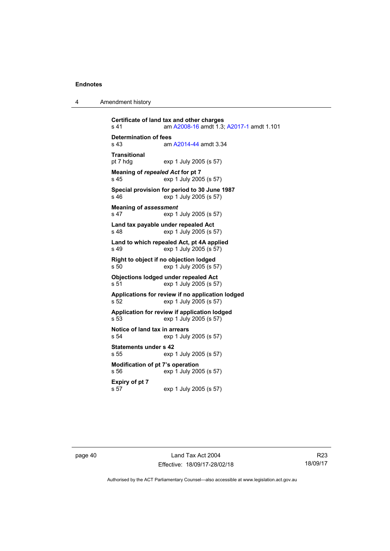| 4 | Amendment history |
|---|-------------------|
|---|-------------------|

**Certificate of land tax and other charges**  s 41 am [A2008-16](http://www.legislation.act.gov.au/a/2008-16) amdt 1.3; [A2017-1](http://www.legislation.act.gov.au/a/2017-1/default.asp) amdt 1.101 **Determination of fees**<br>s 43 am am [A2014-44](http://www.legislation.act.gov.au/a/2014-44) amdt 3.34 **Transitional**  exp 1 July 2005 (s 57) **Meaning of** *repealed Act* **for pt 7**  s 45 exp 1 July 2005 (s 57) **Special provision for period to 30 June 1987**  exp 1 July 2005 (s 57) **Meaning of** *assessment* s 47 exp 1 July 2005 (s 57) **Land tax payable under repealed Act**  s 48 exp 1 July 2005 (s 57) **Land to which repealed Act, pt 4A applied**  s 49 exp 1 July 2005 (s 57) **Right to object if no objection lodged**  s 50 exp 1 July 2005 (s 57) **Objections lodged under repealed Act**  s 51 exp 1 July 2005 (s 57) **Applications for review if no application lodged**  s 52 exp 1 July 2005 (s 57) **Application for review if application lodged**  s 53 exp 1 July 2005 (s 57) **Notice of land tax in arrears**  s 54 exp 1 July 2005 (s 57) **Statements under s 42**  s 55 exp 1 July 2005 (s 57) **Modification of pt 7's operation**  s 56 exp 1 July 2005 (s 57) **Expiry of pt 7**  s 57 exp 1 July 2005 (s 57)

page 40 Land Tax Act 2004 Effective: 18/09/17-28/02/18

R23 18/09/17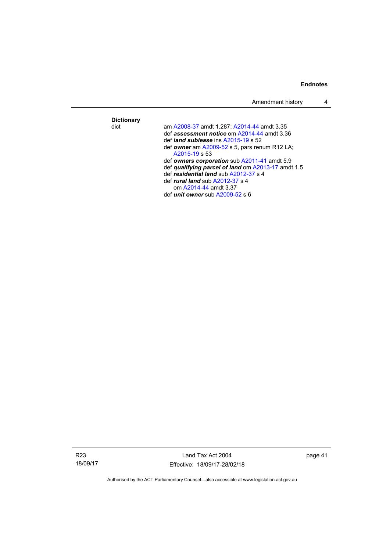|                           | Amendment history                                                                                                                                                                                                                                                                                                                                                                                                                                                               |  |
|---------------------------|---------------------------------------------------------------------------------------------------------------------------------------------------------------------------------------------------------------------------------------------------------------------------------------------------------------------------------------------------------------------------------------------------------------------------------------------------------------------------------|--|
| <b>Dictionary</b><br>dict | am A2008-37 amdt 1.287; A2014-44 amdt 3.35<br>def assessment notice om A2014-44 amdt 3.36<br>def <i>land sublease</i> ins $A2015-19$ s 52<br>def owner am $A2009-52$ s 5, pars renum R12 LA;<br>$A2015-19$ s 53<br>def owners corporation sub A2011-41 amdt 5.9<br>def qualifying parcel of land om A2013-17 amdt 1.5<br>def residential land sub A2012-37 s 4<br>def <i>rural land</i> sub $A2012-37$ s 4<br>om A2014-44 amdt 3.37<br>def <i>unit owner</i> sub $A2009-52$ s 6 |  |
|                           |                                                                                                                                                                                                                                                                                                                                                                                                                                                                                 |  |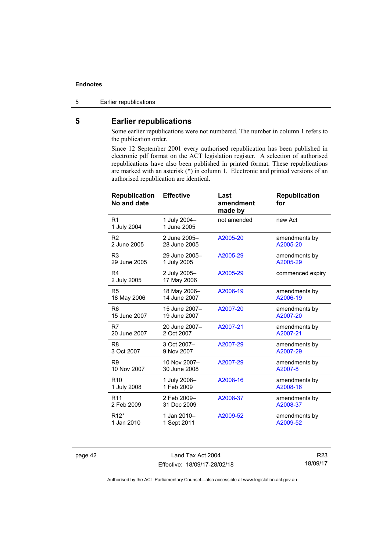5 Earlier republications

## <span id="page-47-0"></span>**5 Earlier republications**

Some earlier republications were not numbered. The number in column 1 refers to the publication order.

Since 12 September 2001 every authorised republication has been published in electronic pdf format on the ACT legislation register. A selection of authorised republications have also been published in printed format. These republications are marked with an asterisk (\*) in column 1. Electronic and printed versions of an authorised republication are identical.

| <b>Republication</b><br>No and date | <b>Effective</b>            | Last<br>amendment<br>made by | <b>Republication</b><br>for |
|-------------------------------------|-----------------------------|------------------------------|-----------------------------|
| R <sub>1</sub><br>1 July 2004       | 1 July 2004-<br>1 June 2005 | not amended                  | new Act                     |
| R <sub>2</sub>                      | 2 June 2005-                | A2005-20                     | amendments by               |
| 2 June 2005                         | 28 June 2005                |                              | A2005-20                    |
| R <sub>3</sub>                      | 29 June 2005-               | A2005-29                     | amendments by               |
| 29 June 2005                        | 1 July 2005                 |                              | A2005-29                    |
| R <sub>4</sub><br>2 July 2005       | 2 July 2005-<br>17 May 2006 | A2005-29                     | commenced expiry            |
| R <sub>5</sub>                      | 18 May 2006-                | A2006-19                     | amendments by               |
| 18 May 2006                         | 14 June 2007                |                              | A2006-19                    |
| R <sub>6</sub>                      | 15 June 2007-               | A2007-20                     | amendments by               |
| 15 June 2007                        | 19 June 2007                |                              | A2007-20                    |
| R7                                  | 20 June 2007-               | A2007-21                     | amendments by               |
| 20 June 2007                        | 2 Oct 2007                  |                              | A2007-21                    |
| R <sub>8</sub>                      | 3 Oct 2007-                 | A2007-29                     | amendments by               |
| 3 Oct 2007                          | 9 Nov 2007                  |                              | A2007-29                    |
| R <sub>9</sub>                      | 10 Nov 2007-                | A2007-29                     | amendments by               |
| 10 Nov 2007                         | 30 June 2008                |                              | A2007-8                     |
| R <sub>10</sub>                     | 1 July 2008-                | A2008-16                     | amendments by               |
| 1 July 2008                         | 1 Feb 2009                  |                              | A2008-16                    |
| R <sub>11</sub>                     | 2 Feb 2009-                 | A2008-37                     | amendments by               |
| 2 Feb 2009                          | 31 Dec 2009                 |                              | A2008-37                    |
| R <sub>12</sub> <sup>*</sup>        | 1 Jan 2010-                 | A2009-52                     | amendments by               |
| 1 Jan 2010                          | 1 Sept 2011                 |                              | A2009-52                    |

page 42 Land Tax Act 2004 Effective: 18/09/17-28/02/18

R23 18/09/17